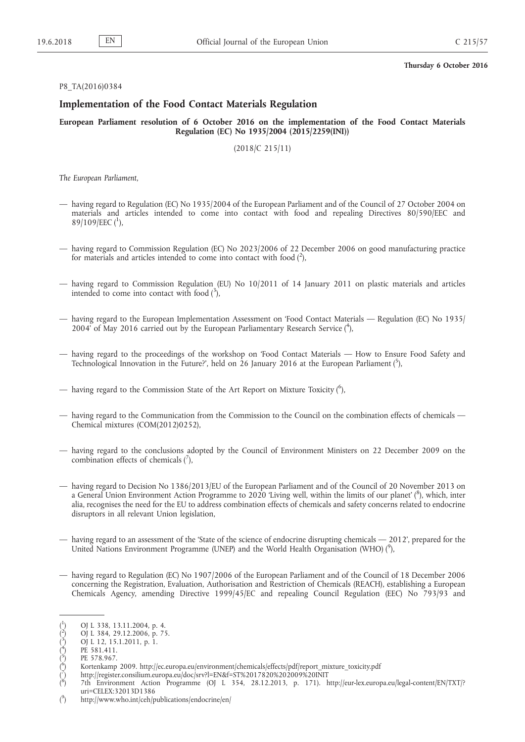### P8\_TA(2016)0384

# **Implementation of the Food Contact Materials Regulation**

**European Parliament resolution of 6 October 2016 on the implementation of the Food Contact Materials Regulation (EC) No 1935/2004 (2015/2259(INI))**

(2018/C 215/11)

*The European Parliament*,

- having regard to Regulation (EC) No 1935/2004 of the European Parliament and of the Council of 27 October 2004 on materials and articles intended to come into contact with food and repealing Directives 80/590/EEC and 89/109/EEC  $(^1)$ ,
- having regard to Commission Regulation (EC) No 2023/2006 of 22 December 2006 on good manufacturing practice for materials and articles intended to come into contact with food  $(^2)$ ,
- having regard to Commission Regulation (EU) No 10/2011 of 14 January 2011 on plastic materials and articles intended to come into contact with food  $(^3)$ ,
- having regard to the European Implementation Assessment on 'Food Contact Materials Regulation (EC) No 1935/ 2004' of May 2016 carried out by the European Parliamentary Research Service (4),
- having regard to the proceedings of the workshop on 'Food Contact Materials How to Ensure Food Safety and Technological Innovation in the Future?', held on 26 January 2016 at the European Parliament (5),
- having regard to the Commission State of the Art Report on Mixture Toxicity (<sup>6</sup>),
- having regard to the Communication from the Commission to the Council on the combination effects of chemicals Chemical mixtures (COM(2012)0252),
- having regard to the conclusions adopted by the Council of Environment Ministers on 22 December 2009 on the combination effects of chemicals  $(\bar{\ }')$ ,
- having regard to Decision No 1386/2013/EU of the European Parliament and of the Council of 20 November 2013 on a General Union Environment Action Programme to 2020 'Living well, within the limits of our planet' ( $^8$ ), which, inter alia, recognises the need for the EU to address combination effects of chemicals and safety concerns related to endocrine disruptors in all relevant Union legislation,
- having regard to an assessment of the 'State of the science of endocrine disrupting chemicals 2012', prepared for the United Nations Environment Programme (UNEP) and the World Health Organisation (WHO) (<sup>9</sup>),
- having regard to Regulation (EC) No 1907/2006 of the European Parliament and of the Council of 18 December 2006 concerning the Registration, Evaluation, Authorisation and Restriction of Chemicals (REACH), establishing a European Chemicals Agency, amending Directive 1999/45/EC and repealing Council Regulation (EEC) No 793/93 and

 $($ <sup>1</sup> ) OJ L 338, 13.11.2004, p. 4.

 $\binom{2}{1}$ ) OJ L 384, 29.12.2006, p. 75.

 $\ddot{(^3}$ ) OJ L 12, 15.1.2011, p. 1.

 $\dot{(^4}$ PE 581.411.

 $\zeta^5$ PE 578.967.

 $\bigl( \frac{6}{5} \bigr)$ ) Kortenkamp 2009. [http://ec.europa.eu/environment/chemicals/effects/pdf/report\\_mixture\\_toxicity.pdf](http://ec.europa.eu/environment/chemicals/effects/pdf/report_mixture_toxicity.pdf)

<sup>(</sup> 7 ) <http://register.consilium.europa.eu/doc/srv?l=EN&f=ST%2017820%202009%20INIT>

 $\zeta^8$ ) 7th Environment Action Programme (OJ L 354, 28.12.2013, p. 171). [http://eur-lex.europa.eu/legal-content/EN/TXT/?](http://eur-lex.europa.eu/legal-content/EN/TXT/?uri=CELEX:32013D1386)  [uri=CELEX:32013D1386](http://eur-lex.europa.eu/legal-content/EN/TXT/?uri=CELEX:32013D1386)

 $($ <sup>9</sup> ) <http://www.who.int/ceh/publications/endocrine/en/>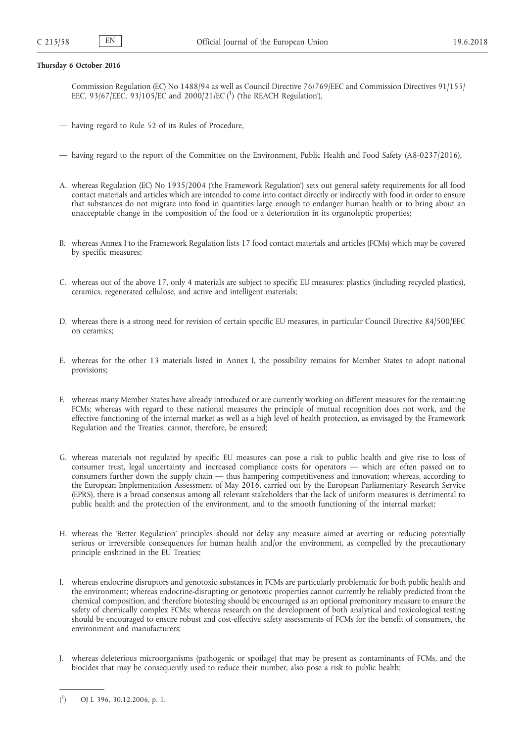Commission Regulation (EC) No 1488/94 as well as Council Directive 76/769/EEC and Commission Directives 91/155/ EEC, 93/67/EEC, 93/105/EC and 2000/21/EC (<sup>1</sup>) (the REACH Regulation'),

- having regard to Rule 52 of its Rules of Procedure,
- having regard to the report of the Committee on the Environment, Public Health and Food Safety (A8-0237/2016),
- A. whereas Regulation (EC) No 1935/2004 ('the Framework Regulation') sets out general safety requirements for all food contact materials and articles which are intended to come into contact directly or indirectly with food in order to ensure that substances do not migrate into food in quantities large enough to endanger human health or to bring about an unacceptable change in the composition of the food or a deterioration in its organoleptic properties;
- B. whereas Annex I to the Framework Regulation lists 17 food contact materials and articles (FCMs) which may be covered by specific measures;
- C. whereas out of the above 17, only 4 materials are subject to specific EU measures: plastics (including recycled plastics), ceramics, regenerated cellulose, and active and intelligent materials;
- D. whereas there is a strong need for revision of certain specific EU measures, in particular Council Directive 84/500/EEC on ceramics;
- E. whereas for the other 13 materials listed in Annex I, the possibility remains for Member States to adopt national provisions;
- F. whereas many Member States have already introduced or are currently working on different measures for the remaining FCMs; whereas with regard to these national measures the principle of mutual recognition does not work, and the effective functioning of the internal market as well as a high level of health protection, as envisaged by the Framework Regulation and the Treaties, cannot, therefore, be ensured;
- G. whereas materials not regulated by specific EU measures can pose a risk to public health and give rise to loss of consumer trust, legal uncertainty and increased compliance costs for operators — which are often passed on to consumers further down the supply chain — thus hampering competitiveness and innovation; whereas, according to the European Implementation Assessment of May 2016, carried out by the European Parliamentary Research Service (EPRS), there is a broad consensus among all relevant stakeholders that the lack of uniform measures is detrimental to public health and the protection of the environment, and to the smooth functioning of the internal market;
- H. whereas the 'Better Regulation' principles should not delay any measure aimed at averting or reducing potentially serious or irreversible consequences for human health and/or the environment, as compelled by the precautionary principle enshrined in the EU Treaties;
- I. whereas endocrine disruptors and genotoxic substances in FCMs are particularly problematic for both public health and the environment; whereas endocrine-disrupting or genotoxic properties cannot currently be reliably predicted from the chemical composition, and therefore biotesting should be encouraged as an optional premonitory measure to ensure the safety of chemically complex FCMs; whereas research on the development of both analytical and toxicological testing should be encouraged to ensure robust and cost-effective safety assessments of FCMs for the benefit of consumers, the environment and manufacturers;
- J. whereas deleterious microorganisms (pathogenic or spoilage) that may be present as contaminants of FCMs, and the biocides that may be consequently used to reduce their number, also pose a risk to public health;

 $($ <sup>1</sup> ) OJ L 396, 30.12.2006, p. 1.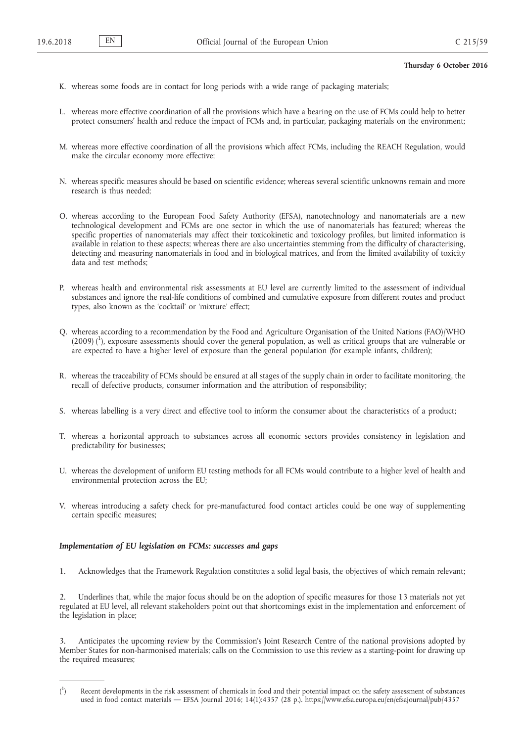- K. whereas some foods are in contact for long periods with a wide range of packaging materials;
- L. whereas more effective coordination of all the provisions which have a bearing on the use of FCMs could help to better protect consumers' health and reduce the impact of FCMs and, in particular, packaging materials on the environment;
- M. whereas more effective coordination of all the provisions which affect FCMs, including the REACH Regulation, would make the circular economy more effective;
- N. whereas specific measures should be based on scientific evidence; whereas several scientific unknowns remain and more research is thus needed;
- O. whereas according to the European Food Safety Authority (EFSA), nanotechnology and nanomaterials are a new technological development and FCMs are one sector in which the use of nanomaterials has featured; whereas the specific properties of nanomaterials may affect their toxicokinetic and toxicology profiles, but limited information is available in relation to these aspects; whereas there are also uncertainties stemming from the difficulty of characterising, detecting and measuring nanomaterials in food and in biological matrices, and from the limited availability of toxicity data and test methods;
- P. whereas health and environmental risk assessments at EU level are currently limited to the assessment of individual substances and ignore the real-life conditions of combined and cumulative exposure from different routes and product types, also known as the 'cocktail' or 'mixture' effect;
- Q. whereas according to a recommendation by the Food and Agriculture Organisation of the United Nations (FAO)/WHO (2009) (<sup>1</sup>), exposure assessments should cover the general population, as well as critical groups that are vulnerable or are expected to have a higher level of exposure than the general population (for example infants, children);
- R. whereas the traceability of FCMs should be ensured at all stages of the supply chain in order to facilitate monitoring, the recall of defective products, consumer information and the attribution of responsibility;
- S. whereas labelling is a very direct and effective tool to inform the consumer about the characteristics of a product;
- T. whereas a horizontal approach to substances across all economic sectors provides consistency in legislation and predictability for businesses;
- U. whereas the development of uniform EU testing methods for all FCMs would contribute to a higher level of health and environmental protection across the EU;
- V. whereas introducing a safety check for pre-manufactured food contact articles could be one way of supplementing certain specific measures;

# *Implementation of EU legislation on FCMs: successes and gaps*

1. Acknowledges that the Framework Regulation constitutes a solid legal basis, the objectives of which remain relevant;

2. Underlines that, while the major focus should be on the adoption of specific measures for those 13 materials not yet regulated at EU level, all relevant stakeholders point out that shortcomings exist in the implementation and enforcement of the legislation in place;

3. Anticipates the upcoming review by the Commission's Joint Research Centre of the national provisions adopted by Member States for non-harmonised materials; calls on the Commission to use this review as a starting-point for drawing up the required measures;

 $($ <sup>1</sup> ) Recent developments in the risk assessment of chemicals in food and their potential impact on the safety assessment of substances used in food contact materials — EFSA Journal 2016; 14(1):4357 (28 p.). <https://www.efsa.europa.eu/en/efsajournal/pub/4357>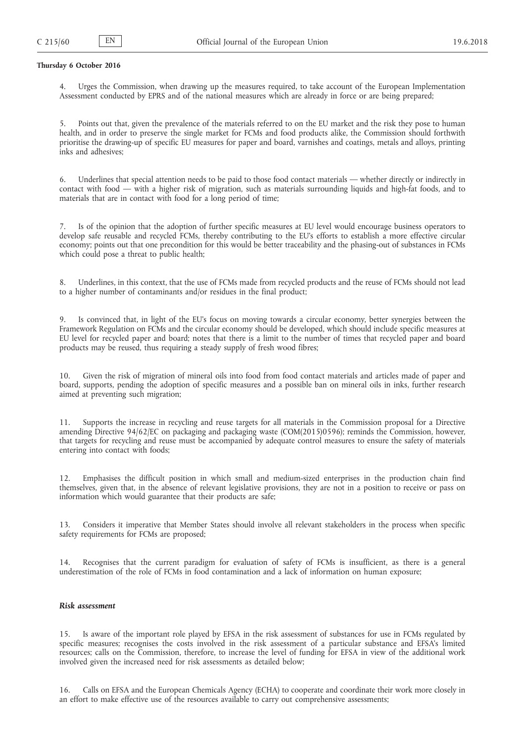4. Urges the Commission, when drawing up the measures required, to take account of the European Implementation Assessment conducted by EPRS and of the national measures which are already in force or are being prepared;

5. Points out that, given the prevalence of the materials referred to on the EU market and the risk they pose to human health, and in order to preserve the single market for FCMs and food products alike, the Commission should forthwith prioritise the drawing-up of specific EU measures for paper and board, varnishes and coatings, metals and alloys, printing inks and adhesives;

6. Underlines that special attention needs to be paid to those food contact materials — whether directly or indirectly in contact with food — with a higher risk of migration, such as materials surrounding liquids and high-fat foods, and to materials that are in contact with food for a long period of time;

7. Is of the opinion that the adoption of further specific measures at EU level would encourage business operators to develop safe reusable and recycled FCMs, thereby contributing to the EU's efforts to establish a more effective circular economy; points out that one precondition for this would be better traceability and the phasing-out of substances in FCMs which could pose a threat to public health;

8. Underlines, in this context, that the use of FCMs made from recycled products and the reuse of FCMs should not lead to a higher number of contaminants and/or residues in the final product;

9. Is convinced that, in light of the EU's focus on moving towards a circular economy, better synergies between the Framework Regulation on FCMs and the circular economy should be developed, which should include specific measures at EU level for recycled paper and board; notes that there is a limit to the number of times that recycled paper and board products may be reused, thus requiring a steady supply of fresh wood fibres;

10. Given the risk of migration of mineral oils into food from food contact materials and articles made of paper and board, supports, pending the adoption of specific measures and a possible ban on mineral oils in inks, further research aimed at preventing such migration;

11. Supports the increase in recycling and reuse targets for all materials in the Commission proposal for a Directive amending Directive 94/62/EC on packaging and packaging waste (COM(2015)0596); reminds the Commission, however, that targets for recycling and reuse must be accompanied by adequate control measures to ensure the safety of materials entering into contact with foods;

12. Emphasises the difficult position in which small and medium-sized enterprises in the production chain find themselves, given that, in the absence of relevant legislative provisions, they are not in a position to receive or pass on information which would guarantee that their products are safe;

13. Considers it imperative that Member States should involve all relevant stakeholders in the process when specific safety requirements for FCMs are proposed;

14. Recognises that the current paradigm for evaluation of safety of FCMs is insufficient, as there is a general underestimation of the role of FCMs in food contamination and a lack of information on human exposure;

# *Risk assessment*

15. Is aware of the important role played by EFSA in the risk assessment of substances for use in FCMs regulated by specific measures; recognises the costs involved in the risk assessment of a particular substance and EFSA's limited resources; calls on the Commission, therefore, to increase the level of funding for EFSA in view of the additional work involved given the increased need for risk assessments as detailed below;

16. Calls on EFSA and the European Chemicals Agency (ECHA) to cooperate and coordinate their work more closely in an effort to make effective use of the resources available to carry out comprehensive assessments;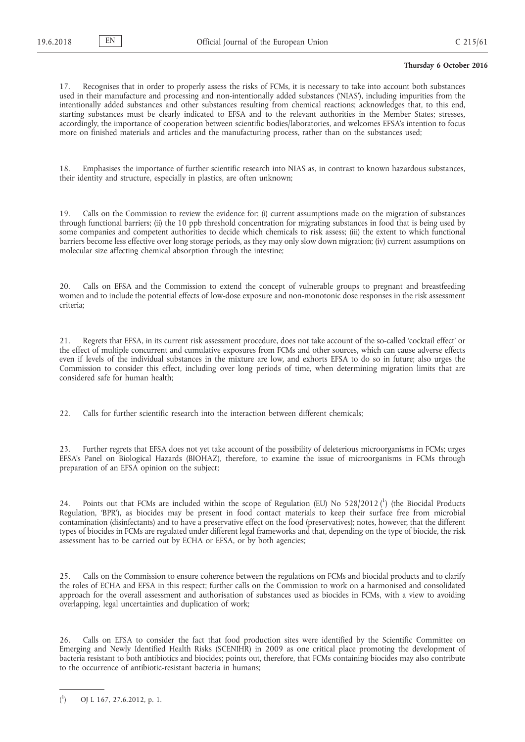17. Recognises that in order to properly assess the risks of FCMs, it is necessary to take into account both substances used in their manufacture and processing and non-intentionally added substances ('NIAS'), including impurities from the intentionally added substances and other substances resulting from chemical reactions; acknowledges that, to this end, starting substances must be clearly indicated to EFSA and to the relevant authorities in the Member States; stresses, accordingly, the importance of cooperation between scientific bodies/laboratories, and welcomes EFSA's intention to focus more on finished materials and articles and the manufacturing process, rather than on the substances used;

18. Emphasises the importance of further scientific research into NIAS as, in contrast to known hazardous substances, their identity and structure, especially in plastics, are often unknown;

19. Calls on the Commission to review the evidence for: (i) current assumptions made on the migration of substances through functional barriers; (ii) the 10 ppb threshold concentration for migrating substances in food that is being used by some companies and competent authorities to decide which chemicals to risk assess; (iii) the extent to which functional barriers become less effective over long storage periods, as they may only slow down migration; (iv) current assumptions on molecular size affecting chemical absorption through the intestine;

20. Calls on EFSA and the Commission to extend the concept of vulnerable groups to pregnant and breastfeeding women and to include the potential effects of low-dose exposure and non-monotonic dose responses in the risk assessment criteria;

21. Regrets that EFSA, in its current risk assessment procedure, does not take account of the so-called 'cocktail effect' or the effect of multiple concurrent and cumulative exposures from FCMs and other sources, which can cause adverse effects even if levels of the individual substances in the mixture are low, and exhorts EFSA to do so in future; also urges the Commission to consider this effect, including over long periods of time, when determining migration limits that are considered safe for human health;

22. Calls for further scientific research into the interaction between different chemicals;

23. Further regrets that EFSA does not yet take account of the possibility of deleterious microorganisms in FCMs; urges EFSA's Panel on Biological Hazards (BIOHAZ), therefore, to examine the issue of microorganisms in FCMs through preparation of an EFSA opinion on the subject;

24. Points out that FCMs are included within the scope of Regulation (EU) No  $528/2012$  (<sup>1</sup>) (the Biocidal Products Regulation, 'BPR'), as biocides may be present in food contact materials to keep their surface free from microbial contamination (disinfectants) and to have a preservative effect on the food (preservatives); notes, however, that the different types of biocides in FCMs are regulated under different legal frameworks and that, depending on the type of biocide, the risk assessment has to be carried out by ECHA or EFSA, or by both agencies;

25. Calls on the Commission to ensure coherence between the regulations on FCMs and biocidal products and to clarify the roles of ECHA and EFSA in this respect; further calls on the Commission to work on a harmonised and consolidated approach for the overall assessment and authorisation of substances used as biocides in FCMs, with a view to avoiding overlapping, legal uncertainties and duplication of work;

26. Calls on EFSA to consider the fact that food production sites were identified by the Scientific Committee on Emerging and Newly Identified Health Risks (SCENIHR) in 2009 as one critical place promoting the development of bacteria resistant to both antibiotics and biocides; points out, therefore, that FCMs containing biocides may also contribute to the occurrence of antibiotic-resistant bacteria in humans;

 $($ <sup>1</sup> ) OJ L 167, 27.6.2012, p. 1.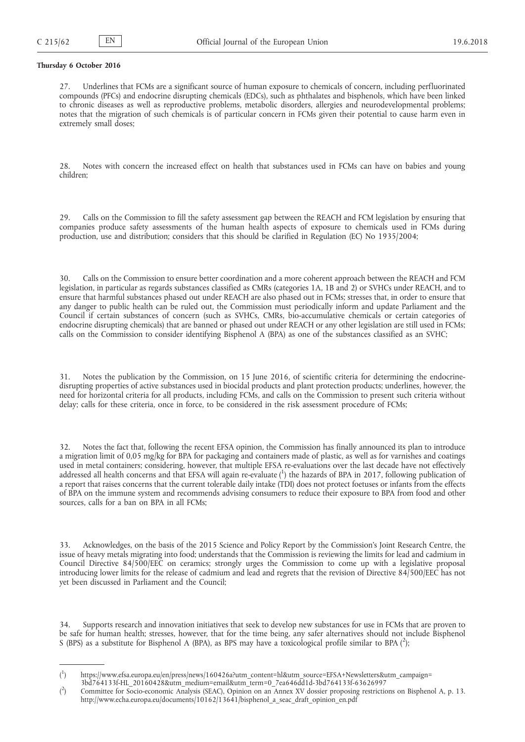27. Underlines that FCMs are a significant source of human exposure to chemicals of concern, including perfluorinated compounds (PFCs) and endocrine disrupting chemicals (EDCs), such as phthalates and bisphenols, which have been linked to chronic diseases as well as reproductive problems, metabolic disorders, allergies and neurodevelopmental problems; notes that the migration of such chemicals is of particular concern in FCMs given their potential to cause harm even in extremely small doses;

28. Notes with concern the increased effect on health that substances used in FCMs can have on babies and young children;

29. Calls on the Commission to fill the safety assessment gap between the REACH and FCM legislation by ensuring that companies produce safety assessments of the human health aspects of exposure to chemicals used in FCMs during production, use and distribution; considers that this should be clarified in Regulation (EC) No 1935/2004;

30. Calls on the Commission to ensure better coordination and a more coherent approach between the REACH and FCM legislation, in particular as regards substances classified as CMRs (categories 1A, 1B and 2) or SVHCs under REACH, and to ensure that harmful substances phased out under REACH are also phased out in FCMs; stresses that, in order to ensure that any danger to public health can be ruled out, the Commission must periodically inform and update Parliament and the Council if certain substances of concern (such as SVHCs, CMRs, bio-accumulative chemicals or certain categories of endocrine disrupting chemicals) that are banned or phased out under REACH or any other legislation are still used in FCMs; calls on the Commission to consider identifying Bisphenol A (BPA) as one of the substances classified as an SVHC;

31. Notes the publication by the Commission, on 15 June 2016, of scientific criteria for determining the endocrinedisrupting properties of active substances used in biocidal products and plant protection products; underlines, however, the need for horizontal criteria for all products, including FCMs, and calls on the Commission to present such criteria without delay; calls for these criteria, once in force, to be considered in the risk assessment procedure of FCMs;

Notes the fact that, following the recent EFSA opinion, the Commission has finally announced its plan to introduce a migration limit of 0,05 mg/kg for BPA for packaging and containers made of plastic, as well as for varnishes and coatings used in metal containers; considering, however, that multiple EFSA re-evaluations over the last decade have not effectively addressed all health concerns and that EFSA will again re-evaluate (1) the hazards of BPA in 2017, following publication of a report that raises concerns that the current tolerable daily intake (TDI) does not protect foetuses or infants from the effects of BPA on the immune system and recommends advising consumers to reduce their exposure to BPA from food and other sources, calls for a ban on BPA in all FCMs;

33. Acknowledges, on the basis of the 2015 Science and Policy Report by the Commission's Joint Research Centre, the issue of heavy metals migrating into food; understands that the Commission is reviewing the limits for lead and cadmium in Council Directive 84/500/EEC on ceramics; strongly urges the Commission to come up with a legislative proposal introducing lower limits for the release of cadmium and lead and regrets that the revision of Directive 84/500/EEC has not yet been discussed in Parliament and the Council;

34. Supports research and innovation initiatives that seek to develop new substances for use in FCMs that are proven to be safe for human health; stresses, however, that for the time being, any safer alternatives should not include Bisphenol S (BPS) as a substitute for Bisphenol A (BPA), as BPS may have a toxicological profile similar to BPA (2);

 $($ <sup>1</sup> ) [https://www.efsa.europa.eu/en/press/news/160426a?utm\\_content=hl&utm\\_source=EFSA+Newsletters&utm\\_campaign=](https://www.efsa.europa.eu/en/press/news/160426a?utm_content=hl&utm_source=EFSA+Newsletters&utm_campaign=3bd764133f-HL_20160428&utm_medium=email&utm_term=0_7ea646dd1d-3bd764133f-63626997)

[<sup>3</sup>bd764133f-HL\\_20160428&utm\\_medium=email&utm\\_term=0\\_7ea646dd1d-3bd764133f-63626997](https://www.efsa.europa.eu/en/press/news/160426a?utm_content=hl&utm_source=EFSA+Newsletters&utm_campaign=3bd764133f-HL_20160428&utm_medium=email&utm_term=0_7ea646dd1d-3bd764133f-63626997)

 $($ <sup>2</sup> ) Committee for Socio-economic Analysis (SEAC), Opinion on an Annex XV dossier proposing restrictions on Bisphenol A, p. 13. [http://www.echa.europa.eu/documents/10162/13641/bisphenol\\_a\\_seac\\_draft\\_opinion\\_en.pdf](http://www.echa.europa.eu/documents/10162/13641/bisphenol_a_seac_draft_opinion_en.pdf)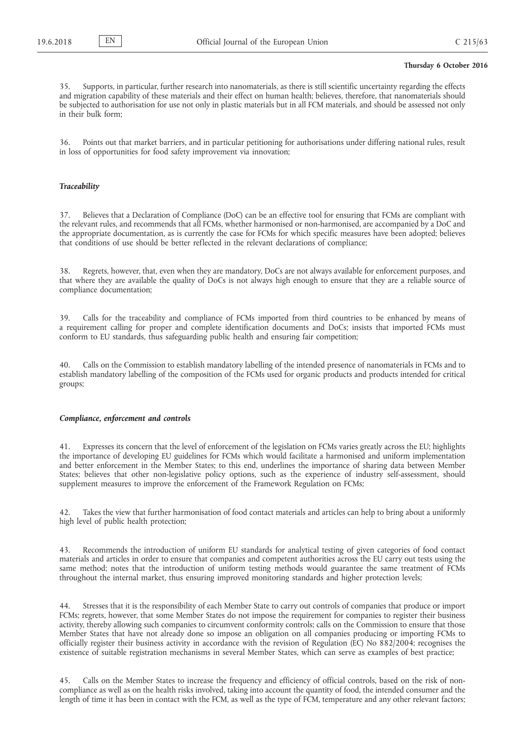35. Supports, in particular, further research into nanomaterials, as there is still scientific uncertainty regarding the effects and migration capability of these materials and their effect on human health; believes, therefore, that nanomaterials should be subjected to authorisation for use not only in plastic materials but in all FCM materials, and should be assessed not only in their bulk form;

36. Points out that market barriers, and in particular petitioning for authorisations under differing national rules, result in loss of opportunities for food safety improvement via innovation;

## *Traceability*

37. Believes that a Declaration of Compliance (DoC) can be an effective tool for ensuring that FCMs are compliant with the relevant rules, and recommends that all FCMs, whether harmonised or non-harmonised, are accompanied by a DoC and the appropriate documentation, as is currently the case for FCMs for which specific measures have been adopted; believes that conditions of use should be better reflected in the relevant declarations of compliance;

38. Regrets, however, that, even when they are mandatory, DoCs are not always available for enforcement purposes, and that where they are available the quality of DoCs is not always high enough to ensure that they are a reliable source of compliance documentation;

39. Calls for the traceability and compliance of FCMs imported from third countries to be enhanced by means of a requirement calling for proper and complete identification documents and DoCs; insists that imported FCMs must conform to EU standards, thus safeguarding public health and ensuring fair competition;

40. Calls on the Commission to establish mandatory labelling of the intended presence of nanomaterials in FCMs and to establish mandatory labelling of the composition of the FCMs used for organic products and products intended for critical groups;

### *Compliance, enforcement and controls*

41. Expresses its concern that the level of enforcement of the legislation on FCMs varies greatly across the EU; highlights the importance of developing EU guidelines for FCMs which would facilitate a harmonised and uniform implementation and better enforcement in the Member States; to this end, underlines the importance of sharing data between Member States; believes that other non-legislative policy options, such as the experience of industry self-assessment, should supplement measures to improve the enforcement of the Framework Regulation on FCMs;

42. Takes the view that further harmonisation of food contact materials and articles can help to bring about a uniformly high level of public health protection;

43. Recommends the introduction of uniform EU standards for analytical testing of given categories of food contact materials and articles in order to ensure that companies and competent authorities across the EU carry out tests using the same method; notes that the introduction of uniform testing methods would guarantee the same treatment of FCMs throughout the internal market, thus ensuring improved monitoring standards and higher protection levels;

44. Stresses that it is the responsibility of each Member State to carry out controls of companies that produce or import FCMs; regrets, however, that some Member States do not impose the requirement for companies to register their business activity, thereby allowing such companies to circumvent conformity controls; calls on the Commission to ensure that those Member States that have not already done so impose an obligation on all companies producing or importing FCMs to officially register their business activity in accordance with the revision of Regulation (EC) No 882/2004; recognises the existence of suitable registration mechanisms in several Member States, which can serve as examples of best practice;

45. Calls on the Member States to increase the frequency and efficiency of official controls, based on the risk of noncompliance as well as on the health risks involved, taking into account the quantity of food, the intended consumer and the length of time it has been in contact with the FCM, as well as the type of FCM, temperature and any other relevant factors;